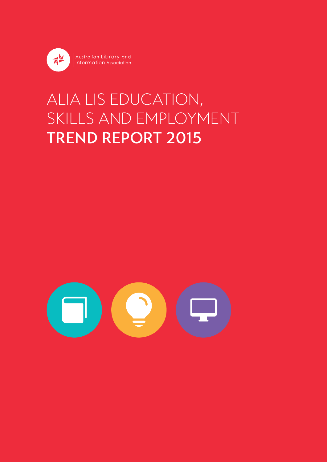

# ALIA LIS EDUCATION, SKILLS AND EMPLOYMENT TREND REPORT 2015

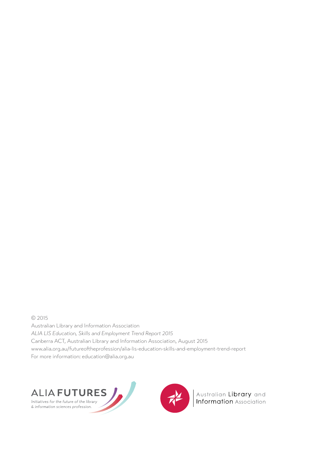© 2015 Australian Library and Information Association *ALIA LIS Education, Skills and Employment Trend Report 2015* Canberra ACT, Australian Library and Information Association, August 2015 www.alia.org.au/futureoftheprofession/alia-lis-education-skills-and-employment-trend-report For more information: education@alia.org.au





Australian **Library** and<br>**Information** Association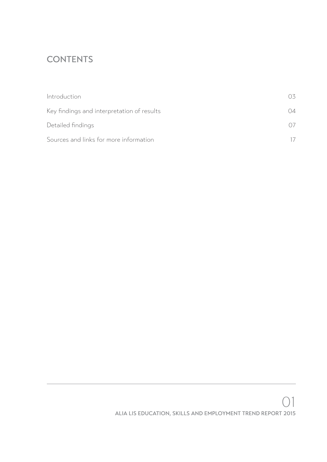# **CONTENTS**

| Introduction                               | (35) |
|--------------------------------------------|------|
| Key findings and interpretation of results | 04   |
| Detailed findings                          |      |
| Sources and links for more information     |      |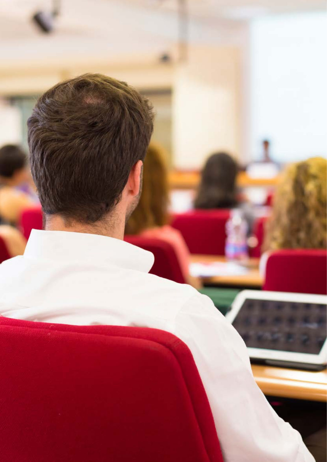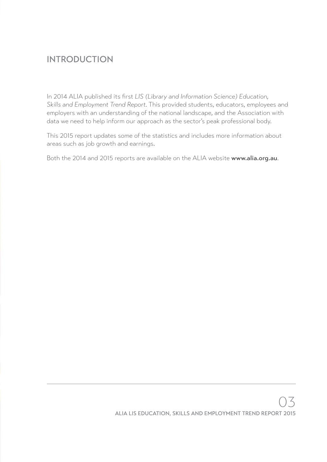# <span id="page-4-0"></span>INTRODUCTION

In 2014 ALIA published its first *LIS (Library and Information Science) Education, Skills and Employment Trend Report*. This provided students, educators, employees and employers with an understanding of the national landscape, and the Association with data we need to help inform our approach as the sector's peak professional body.

This 2015 report updates some of the statistics and includes more information about areas such as job growth and earnings.

Both the 2014 and 2015 reports are available on the ALIA website [www.alia.org.au](http://www.alia.org.au).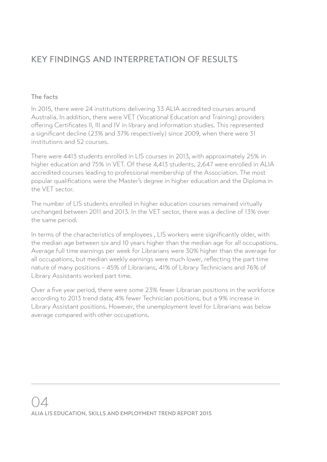# <span id="page-5-0"></span>KEY FINDINGS AND INTERPRETATION OF RESULTS

### The facts

In 2015, there were 24 institutions delivering 33 ALIA accredited courses around Australia. In addition, there were VET (Vocational Education and Training) providers offering Certificates II, III and IV in library and information studies. This represented a significant decline (23% and 37% respectively) since 2009, when there were 31 institutions and 52 courses.

There were 4413 students enrolled in LIS courses in 2013, with approximately 25% in higher education and 75% in VET. Of these 4,413 students, 2,647 were enrolled in ALIA accredited courses leading to professional membership of the Association. The most popular qualifications were the Master's degree in higher education and the Diploma in the VET sector.

The number of LIS students enrolled in higher education courses remained virtually unchanged between 2011 and 2013. In the VET sector, there was a decline of 13% over the same period.

In terms of the characteristics of employees , LIS workers were significantly older, with the median age between six and 10 years higher than the median age for all occupations. Average full time earnings per week for Librarians were 30% higher than the average for all occupations, but median weekly earnings were much lower, reflecting the part time nature of many positions – 45% of Librarians, 41% of Library Technicians and 76% of Library Assistants worked part time.

Over a five year period, there were some 23% fewer Librarian positions in the workforce according to 2013 trend data; 4% fewer Technician positions, but a 9% increase in Library Assistant positions. However, the unemployment level for Librarians was below average compared with other occupations.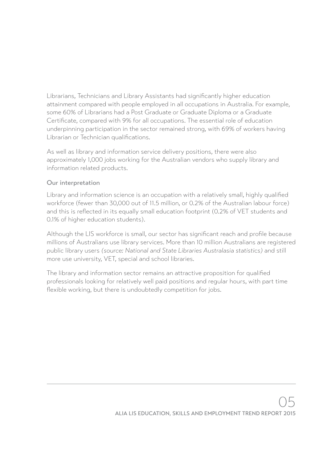Librarians, Technicians and Library Assistants had significantly higher education attainment compared with people employed in all occupations in Australia. For example, some 60% of Librarians had a Post Graduate or Graduate Diploma or a Graduate Certificate, compared with 9% for all occupations. The essential role of education underpinning participation in the sector remained strong, with 69% of workers having Librarian or Technician qualifications.

As well as library and information service delivery positions, there were also approximately 1,000 jobs working for the Australian vendors who supply library and information related products.

## Our interpretation

Library and information science is an occupation with a relatively small, highly qualified workforce (fewer than 30,000 out of 11.5 million, or 0.2% of the Australian labour force) and this is reflected in its equally small education footprint (0.2% of VET students and 0.1% of higher education students).

Although the LIS workforce is small, our sector has significant reach and profile because millions of Australians use library services. More than 10 million Australians are registered public library users *(source: National and State Libraries Australasia statistics)* and still more use university, VET, special and school libraries.

The library and information sector remains an attractive proposition for qualified professionals looking for relatively well paid positions and regular hours, with part time flexible working, but there is undoubtedly competition for jobs.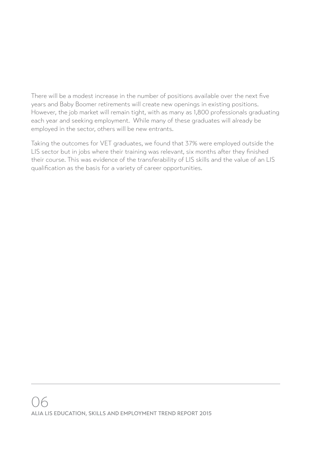There will be a modest increase in the number of positions available over the next five years and Baby Boomer retirements will create new openings in existing positions. However, the job market will remain tight, with as many as 1,800 professionals graduating each year and seeking employment. While many of these graduates will already be employed in the sector, others will be new entrants.

Taking the outcomes for VET graduates, we found that 37% were employed outside the LIS sector but in jobs where their training was relevant, six months after they finished their course. This was evidence of the transferability of LIS skills and the value of an LIS qualification as the basis for a variety of career opportunities.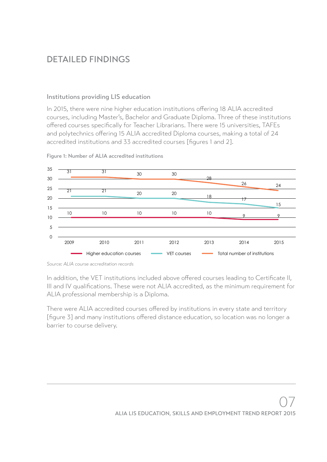# <span id="page-8-0"></span>DETAILED FINDINGS

### Institutions providing LIS education

In 2015, there were nine higher education institutions offering 18 ALIA accredited courses, including Master's, Bachelor and Graduate Diploma. Three of these institutions offered courses specifically for Teacher Librarians. There were 15 universities, TAFEs and polytechnics offering 15 ALIA accredited Diploma courses, making a total of 24 accredited institutions and 33 accredited courses [figures 1 and 2].



Figure 1: Number of ALIA accredited institutions

In addition, the VET institutions included above offered courses leading to Certificate II, III and IV qualifications. These were not ALIA accredited, as the minimum requirement for ALIA professional membership is a Diploma.

There were ALIA accredited courses offered by institutions in every state and territory [figure 3] and many institutions offered distance education, so location was no longer a barrier to course delivery.

*Source: ALIA course accreditation records*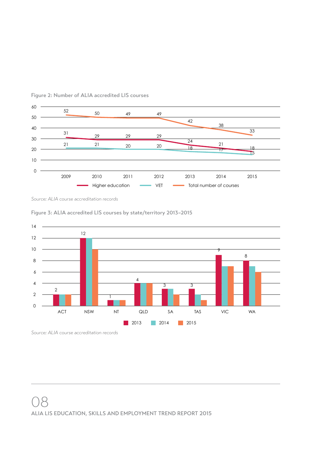

#### Figure 2: Number of ALIA accredited LIS courses

*Source: ALIA course accreditation records*



Figure 3: ALIA accredited LIS courses by state/territory 2013–2015

*Source: ALIA course accreditation records*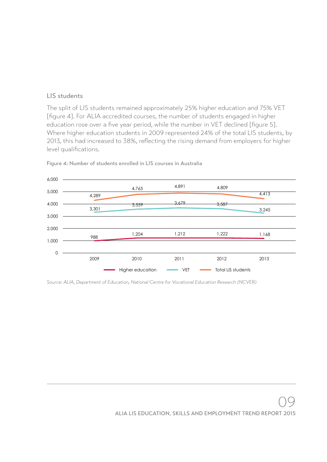### LIS students

The split of LIS students remained approximately 25% higher education and 75% VET [figure 4]. For ALIA accredited courses, the number of students engaged in higher education rose over a five year period, while the number in VET declined [figure 5]. Where higher education students in 2009 represented 24% of the total LIS students, by 2013, this had increased to 38%, reflecting the rising demand from employers for higher level qualifications.



Figure 4: Number of students enrolled in LIS courses in Australia

*Source: ALIA, Department of Education, National Centre for Vocational Education Research (NCVER)*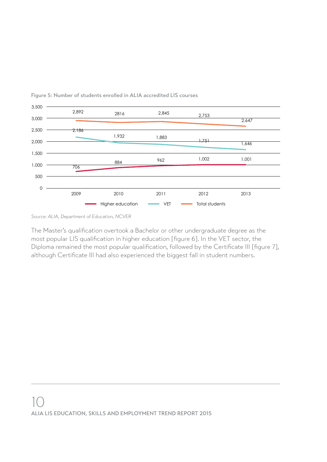

Figure 5: Number of students enrolled in ALIA accredited LIS courses

The Master's qualification overtook a Bachelor or other undergraduate degree as the most popular LIS qualification in higher education [figure 6]. In the VET sector, the Diploma remained the most popular qualification, followed by the Certificate III [figure 7], although Certificate III had also experienced the biggest fall in student numbers.

*Source: ALIA, Department of Education, NCVER*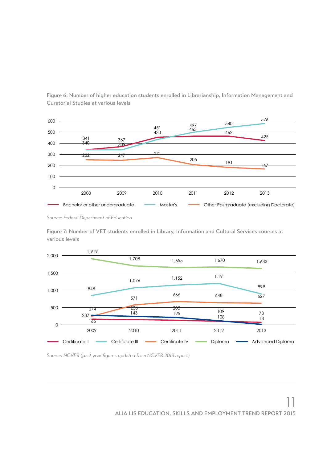

Figure 6: Number of higher education students enrolled in Librarianship, Information Management and Curatorial Studies at various levels

Figure 7: Number of VET students enrolled in Library, Information and Cultural Services courses at various levels



*Source: NCVER (past year figures updated from NCVER 2013 report)*

*Source: Federal Department of Education*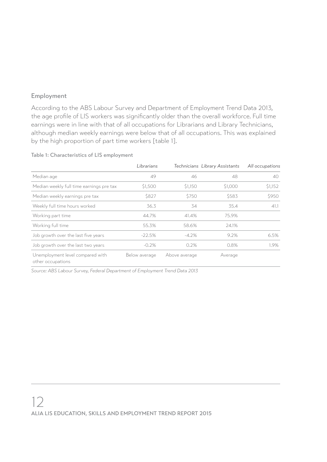### Employment

According to the ABS Labour Survey and Department of Employment Trend Data 2013, the age profile of LIS workers was significantly older than the overall workforce. Full time earnings were in line with that of all occupations for Librarians and Library Technicians, although median weekly earnings were below that of all occupations. This was explained by the high proportion of part time workers [table 1].

#### Table 1: Characteristics of LIS employment

|                                                       | Librarians    |               | Technicians Library Assistants | All occupations |
|-------------------------------------------------------|---------------|---------------|--------------------------------|-----------------|
| Median age                                            | 49            | 46            | 48                             | 40              |
| Median weekly full time earnings pre tax              | \$1,500       | \$1,150       | \$1,000                        | \$1,152         |
| Median weekly earnings pre tax                        | \$827         | \$750         | \$583                          | \$950           |
| Weekly full time hours worked                         | 36.3          | 34            | 35.4                           | 41.1            |
| Working part time                                     | 44.7%         | 41.4%         | 75.9%                          |                 |
| Working full time                                     | 55.3%         | 58.6%         | 24.1%                          |                 |
| Job growth over the last five years                   | $-22.5%$      | $-4.2\%$      | 9.2%                           | 6.5%            |
| Job growth over the last two years                    | $-0.2\%$      | 0.2%          | 0.8%                           | 1.9%            |
| Unemployment level compared with<br>other occupations | Below average | Above average | Average                        |                 |

*Source: ABS Labour Survey, Federal Department of Employment Trend Data 2013*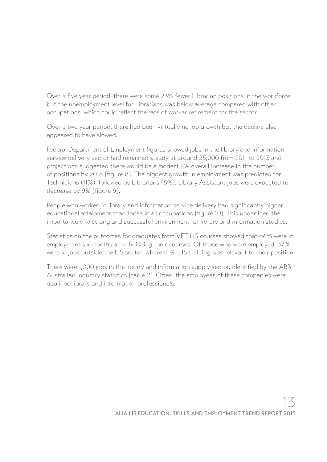Over a five year period, there were some 23% fewer Librarian positions in the workforce but the unemployment level for Librarians was below average compared with other occupations, which could reflect the rate of worker retirement for the sector.

Over a two year period, there had been virtually no job growth but the decline also appeared to have slowed.

Federal Department of Employment figures showed jobs in the library and information service delivery sector had remained steady at around 25,000 from 2011 to 2013 and projections suggested there would be a modest 4% overall increase in the number of positions by 2018 [figure 8]. The biggest growth in employment was predicted for Technicians (11%), followed by Librarians (6%). Library Assistant jobs were expected to decrease by 9% [figure 9].

People who worked in library and information service delivery had significantly higher educational attainment than those in all occupations [figure 10]. This underlined the importance of a strong and successful environment for library and information studies.

Statistics on the outcomes for graduates from VET LIS courses showed that 86% were in employment six months after finishing their courses. Of those who were employed, 37% were in jobs outside the LIS sector, where their LIS training was relevant to their position.

There were 1,000 jobs in the library and information supply sector, identified by the ABS Australian Industry statistics [table 2]. Often, the employees of these companies were qualified library and information professionals.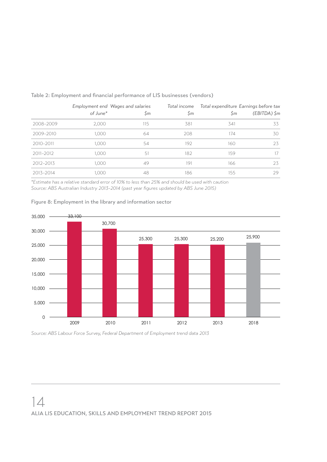|           | of June* | Employment end Wages and salaries<br>\$m | Total income<br>\$m | \$m | Total expenditure Earnings before tax<br>(EBITDA) \$m |
|-----------|----------|------------------------------------------|---------------------|-----|-------------------------------------------------------|
|           |          |                                          |                     |     |                                                       |
| 2008-2009 | 2,000    | 115                                      | 381                 | 341 | 33                                                    |
| 2009-2010 | 1,000    | 64                                       | 208                 | 174 | 30                                                    |
| 2010-2011 | 1,000    | 54                                       | 192                 | 160 | 23                                                    |
| 2011-2012 | 1,000    | 51                                       | 182                 | 159 | 17                                                    |
| 2012-2013 | 1,000    | 49                                       | 191                 | 166 | 23                                                    |
| 2013-2014 | 1,000    | 48                                       | 186                 | 155 | 29                                                    |

### Table 2: Employment and financial performance of LIS businesses (vendors)

*\*Estimate has a relative standard error of 10% to less than 25% and should be used with caution Source: ABS Australian Industry 2013–2014 (past year figures updated by ABS June 2015)*



Figure 8: Employment in the library and information sector

*Source: ABS Labour Force Survey, Federal Department of Employment trend data 2013*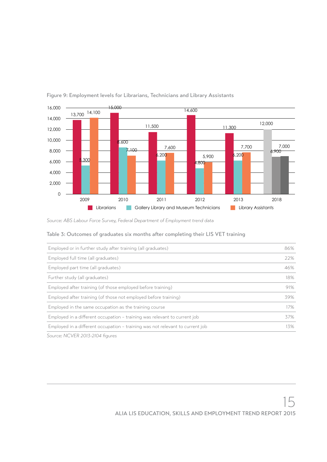

Figure 9: Employment levels for Librarians, Technicians and Library Assistants

*Source: ABS Labour Force Survey, Federal Department of Employment trend data*

#### Table 3: Outcomes of graduates six months after completing their LIS VET training

| Employed or in further study after training (all graduates)                   | 86% |
|-------------------------------------------------------------------------------|-----|
| Employed full time (all graduates)                                            | 22% |
| Employed part time (all graduates)                                            | 46% |
| Further study (all graduates)                                                 | 18% |
| Employed after training (of those employed before training)                   | 91% |
| Employed after training (of those not employed before training)               | 39% |
| Employed in the same occupation as the training course                        | 17% |
| Employed in a different occupation - training was relevant to current job     | 37% |
| Employed in a different occupation - training was not relevant to current job | 13% |
|                                                                               |     |

*Source: NCVER 2013-2104 figures*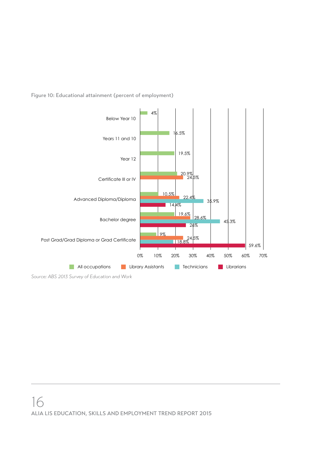



*Source: ABS 2013 Survey of Education and Work*